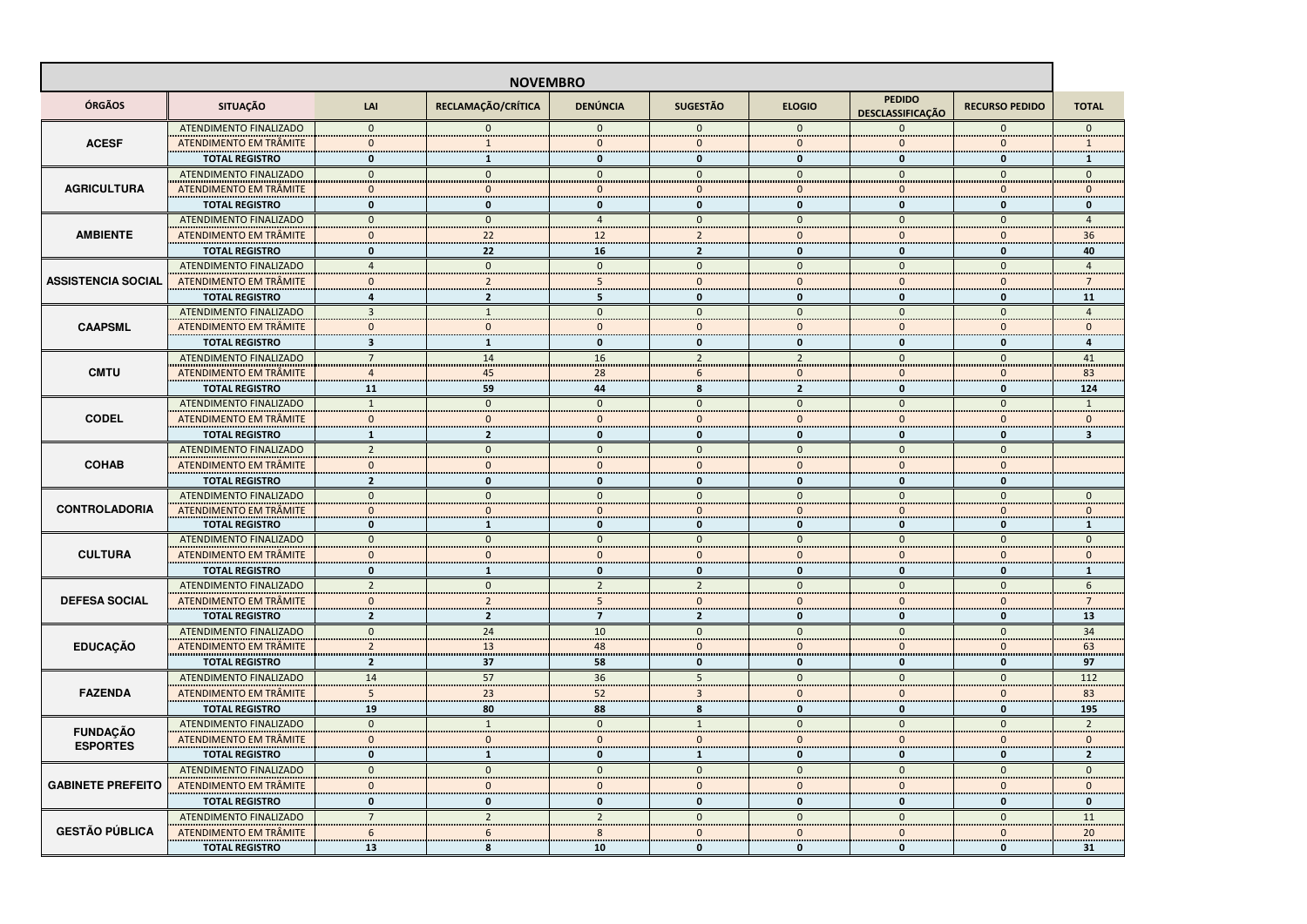| <b>NOVEMBRO</b>                    |                               |                |                    |                  |                    |                       |                                          |                       |                      |
|------------------------------------|-------------------------------|----------------|--------------------|------------------|--------------------|-----------------------|------------------------------------------|-----------------------|----------------------|
| <b>ÓRGÃOS</b>                      | <b>SITUAÇÃO</b>               | LAI            | RECLAMAÇÃO/CRÍTICA | <b>DENÚNCIA</b>  | <b>SUGESTÃO</b>    | <b>ELOGIO</b>         | <b>PEDIDO</b><br><b>DESCLASSIFICAÇÃO</b> | <b>RECURSO PEDIDO</b> | <b>TOTAL</b>         |
| <b>ACESF</b>                       | ATENDIMENTO FINALIZADO        | $\Omega$       | $\Omega$           | $\Omega$         | $\Omega$           | $\Omega$              | $\Omega$                                 | $\Omega$              | $\overline{0}$       |
|                                    | ATENDIMENTO EM TRÂMITE        | $\Omega$       |                    | $\mathbf{0}$     | $\mathbf{0}$       | $\mathbf{0}$          | $\Omega$                                 | $\mathbf{0}$          | 1                    |
|                                    | <b>TOTAL REGISTRO</b>         | $\mathbf{0}$   |                    | $\mathbf 0$      | $\mathbf{0}$       | $\mathbf 0$           | $\bf{0}$                                 | 0                     | -1                   |
| <b>AGRICULTURA</b>                 | ATENDIMENTO FINALIZADO        | $\Omega$       | $\Omega$           | $\theta$         | $\Omega$           | $\overline{0}$        | $\Omega$                                 | $\Omega$              | $\mathbf{0}$         |
|                                    | ATENDIMENTO EM TRÂMITE        |                | 0                  | $\Omega$         | $\mathbf{0}$       | $\mathbf{0}$          | 0                                        | 0                     | $\mathbf{0}$         |
|                                    | <b>TOTAL REGISTRO</b>         | $\bf{0}$       | <sup>0</sup>       | $\mathbf{0}$     | 0                  | 0                     | 0                                        | 0                     | $\mathbf{0}$         |
|                                    | ATENDIMENTO FINALIZADO        | $\Omega$       | $\Omega$           | $\Delta$         | $\mathbf{0}$       | $\overline{0}$        | $\mathbf{0}$                             | $\Omega$              | $\overline{4}$<br>.  |
| <b>AMBIENTE</b>                    | ATENDIMENTO EM TRÂMITE        | $\Omega$<br>   | 22<br>.            | 12<br>           | $\overline{2}$<br> | $\Omega$<br>.         | 0<br>.                                   | 0<br>                 | 36<br>               |
|                                    | <b>TOTAL REGISTRO</b>         | $\bf{0}$       | 22                 | 16               | 2                  | $\mathbf{0}$          | O                                        | 0                     | 40                   |
| <b>ASSISTENCIA SOCIAL</b>          | ATENDIMENTO FINALIZADO        | $\overline{4}$ | $\mathbf{0}$       | $\mathbf{0}$     | $\mathbf{0}$       | $\overline{0}$        | $\mathbf{0}$                             | $\mathbf{0}$          | $\overline{4}$       |
|                                    | ATENDIMENTO EM TRÂMITE        | 0              | 2                  | 5                | $\mathbf{0}$       | $\mathbf{0}$          | $\Omega$                                 | $\mathbf{0}$          | $\overline{7}$       |
|                                    | <b>TOTAL REGISTRO</b>         | $\overline{a}$ | $\overline{2}$     | 5                | $\mathbf{0}$       | $\mathbf 0$           | 0                                        | 0                     | <b>11</b>            |
|                                    | ATENDIMENTO FINALIZADO        | $\overline{3}$ | 1                  | $\mathbf{0}$     | $\mathbf{0}$       | $\overline{0}$        | $\mathbf{0}$                             | $\mathbf{0}$          | $\overline{4}$       |
| <b>CAAPSML</b>                     | ATENDIMENTO EM TRÂMITE        | $\mathbf{0}$   | $\Omega$           | $\overline{0}$   | $\mathbf{0}$       | $\mathbf{0}$          | $\mathbf{0}$                             | $\mathbf{0}$          | $\mathbf 0$          |
|                                    | <b>TOTAL REGISTRO</b>         | 3              | 1                  | $\mathbf 0$      | $\mathbf{0}$       | $\mathbf 0$           | 0                                        | 0                     | $\overline{a}$       |
|                                    | ATENDIMENTO FINALIZADO        | $\overline{7}$ | 14                 | 16               | $\overline{2}$     | $\overline{2}$        | $\Omega$                                 | $\mathbf{0}$          | 41                   |
| <b>CMTU</b>                        | ATENDIMENTO EM TRÂMITE        | $\overline{a}$ | 45                 | 28               | 6                  | -----<br>$\mathbf{0}$ | $\mathbf{0}$                             | $\mathbf{0}$          | 83                   |
|                                    | <b>TOTAL REGISTRO</b>         | <b>11</b>      | 59                 | 44               | 8                  | $\overline{2}$        | 0                                        | 0                     | 124                  |
|                                    | ATENDIMENTO FINALIZADO        | 1              | $\mathbf{0}$       | $\theta$         | $\mathbf{0}$       | $\mathbf{0}$          | $\mathbf{0}$                             | $\Omega$              | 1                    |
| <b>CODEL</b>                       | ATENDIMENTO EM TRÂMITE        |                |                    | $\Omega$         | $\mathbf{0}$       | $\Omega$              | $\Omega$                                 | 0                     | $\mathbf{0}$         |
|                                    | <b>TOTAL REGISTRO</b>         | <br>-1         | <br>2              | <br>$\mathbf{0}$ | <br>$\bf{0}$       | .<br>0                | <br>n                                    | .<br>O                | .<br>3               |
|                                    | ATENDIMENTO FINALIZADO        | $\overline{2}$ | $\mathbf{0}$       | $\mathbf{0}$     | $\mathbf{0}$       | $\mathbf{0}$          | $\mathbf{0}$                             | $\mathbf{0}$          |                      |
| <b>COHAB</b>                       | ATENDIMENTO EM TRÂMITE        | $\Omega$       | $\Omega$           | $\mathbf{0}$     | $\mathbf{0}$       | $\mathbf{0}$          | $\Omega$                                 | $\mathbf{0}$          |                      |
|                                    | <b>TOTAL REGISTRO</b>         |                | n                  | $\mathbf{0}$     | 0                  | $\mathbf 0$           | O                                        | 0                     |                      |
|                                    | ATENDIMENTO FINALIZADO        | $\Omega$       | $\Omega$           | $\theta$         | $\Omega$           | $\overline{0}$        | $\Omega$                                 | $\Omega$              | $\Omega$             |
| <b>CONTROLADORIA</b>               | <b>ATENDIMENTO EM TRÂMITE</b> | $\Omega$       | $\Omega$           | $\mathbf{0}$     | $\mathbf{0}$       | $\mathbf{0}$          | $\mathbf{0}$                             | $\mathbf{0}$          | $\mathbf 0$          |
|                                    | <b>TOTAL REGISTRO</b>         | 0              | 1                  | .<br>$\mathbf 0$ | $\mathbf{0}$       | -----<br>$\mathbf 0$  | 0                                        | 0                     | <b>Contract</b><br>1 |
|                                    | ATENDIMENTO FINALIZADO        | $\Omega$       | $\mathbf{0}$       | $\mathbf{0}$     | $\mathbf{0}$       | $\mathbf{0}$          | $\mathbf{0}$                             | $\mathbf{0}$          | $\mathbf{0}$         |
| <b>CULTURA</b>                     | ATENDIMENTO EM TRÂMITE        | $\Omega$       | <sup>n</sup>       | $\Omega$         | $\Omega$           | $\Omega$              | n                                        | $\Omega$              | $\Omega$             |
|                                    | <b>TOTAL REGISTRO</b>         |                |                    | 0                | 0                  | 0                     | 0                                        | 0                     |                      |
|                                    | ATENDIMENTO FINALIZADO        | $\mathbf{2}$   | $\Omega$           | 2                | $\overline{2}$     | $\mathbf{0}$          | $\mathbf{0}$                             | $\mathbf{0}$          | 6                    |
| <b>DEFESA SOCIAL</b>               | ATENDIMENTO EM TRÂMITE        | $\Omega$       | $\overline{2}$     | 5                | $\mathbf{0}$       | $\mathbf{0}$          | $\mathbf{0}$                             | $\mathbf{0}$          | $\overline{7}$       |
|                                    | <b>TOTAL REGISTRO</b>         |                |                    |                  |                    | 0                     | 0                                        | 0                     | <b>13</b>            |
|                                    | ATENDIMENTO FINALIZADO        | $\Omega$       | 24                 | 10               | $\Omega$           | $\overline{0}$        | $\Omega$                                 | $\Omega$              | 34                   |
| <b>EDUCAÇÃO</b>                    | ATENDIMENTO EM TRÂMITE        | $\overline{2}$ | 13                 | 48               | $\mathbf{0}$       | $\Omega$              | $\Omega$                                 | $\Omega$              | 63                   |
|                                    | <b>TOTAL REGISTRO</b>         | $\mathbf{2}$   | 37                 | 58               | $\mathbf 0$        | 0                     | 0                                        | 0                     | 97                   |
|                                    | ATENDIMENTO FINALIZADO        | 14             | 57                 | 36               | 5                  | $\overline{0}$        | $\mathbf{0}$                             | $\mathbf{0}$          | 112                  |
| <b>FAZENDA</b>                     | <b>ATENDIMENTO EM TRÂMITE</b> | 5              | 23                 | 52               | 3                  | $\mathbf{0}$          | $\Omega$                                 | $\Omega$              | 83                   |
|                                    | <b>TOTAL REGISTRO</b>         | 19             | 80                 | 88               | 8                  | 0                     |                                          |                       | 195                  |
| <b>FUNDAÇÃO</b><br><b>ESPORTES</b> | ATENDIMENTO FINALIZADO        | $\Omega$       | $\mathbf{1}$       | $\Omega$         | 1                  | $\Omega$              | $\Omega$                                 | $\Omega$              | $\overline{2}$       |
|                                    | <b>ATENDIMENTO EM TRÂMITE</b> | $\Omega$       | 0                  | $\Omega$         | $\mathbf{0}$       | $\overline{0}$        | $\Omega$                                 | $\Omega$              | $\mathbf{0}$         |
|                                    | <b>TOTAL REGISTRO</b>         | O              |                    | $\mathbf 0$      | 1                  | $\mathbf 0$           | 0                                        | 0                     | $\overline{2}$       |
|                                    | ATENDIMENTO FINALIZADO        | $\Omega$       | $\Omega$           | $\Omega$         | $\mathbf{0}$       | $\mathbf{0}$          | $\mathbf{0}$                             | $\mathbf{0}$          | $\Omega$             |
| <b>GABINETE PREFEITO</b>           | <b>ATENDIMENTO EM TRÂMITE</b> |                | <sup>n</sup>       | $\Omega$         | $\mathbf{0}$       | $\Omega$              | $\Omega$                                 | $\Omega$              | $\mathbf{0}$         |
|                                    | <b>TOTAL REGISTRO</b>         |                |                    | 0                | 0                  | 0                     | 0                                        | O                     | $\mathbf 0$          |
|                                    | ATENDIMENTO FINALIZADO        | $\overline{7}$ | $\overline{2}$     | $\overline{2}$   | $\mathbf{0}$       | $\overline{0}$        | $\mathbf{0}$                             | $\mathbf{0}$          | 11                   |
| <b>GESTÃO PÚBLICA</b>              | <b>ATENDIMENTO EM TRÂMITE</b> | 6              | 6                  | 8                | $\mathbf{0}$       | $\mathbf 0$           | $\mathbf{0}$                             | $\Omega$              | 20                   |
|                                    | <b>TOTAL REGISTRO</b>         | 13             | 8                  | 10               | $\mathbf 0$        | $\mathbf{0}$          | 0                                        | 0                     | 31                   |
|                                    |                               |                |                    |                  |                    |                       |                                          |                       |                      |